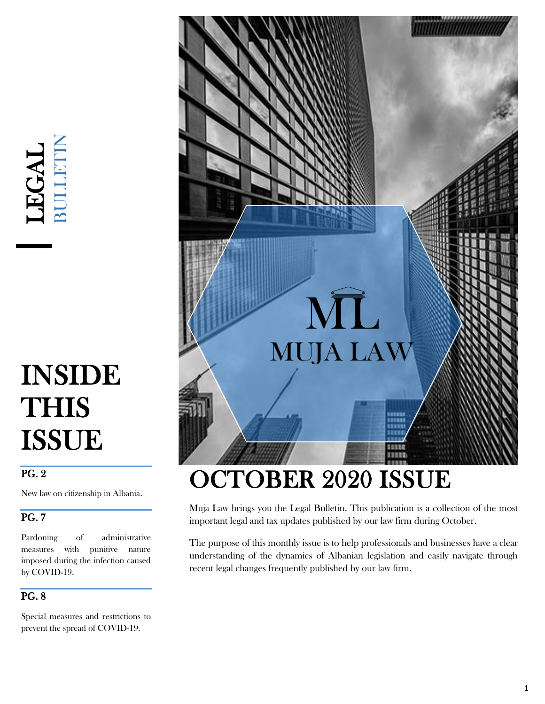# LEGAL<br>BULLETIN

# INSIDE THIS ISSUE

## PG. 2

New law on citizenship in Albania.

## PG. 7

Pardoning of administrative measures with punitive nature imposed during the infection caused by COVID-19.

### PG. 8

Special measures and restrictions to prevent the spread of COVID-19.



# OCTOBER 2020 ISSUE

Muja Law brings you the Legal Bulletin. This publication is a collection of the most important legal and tax updates published by our law firm during October.

The purpose of this monthly issue is to help professionals and businesses have a clear understanding of the dynamics of Albanian legislation and easily navigate through recent legal changes frequently published by our law firm.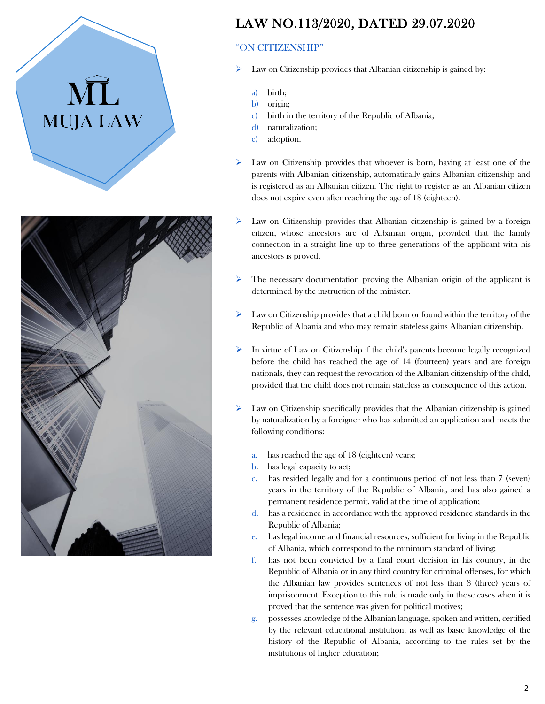



# LAW NO.113/2020, DATED 29.07.2020

#### "ON CITIZENSHIP"

- Law on Citizenship provides that Albanian citizenship is gained by:
	- a) birth;
	- b) origin;
	- c) birth in the territory of the Republic of Albania;
	- d) naturalization;
	- e) adoption.
- Law on Citizenship provides that whoever is born, having at least one of the parents with Albanian citizenship, automatically gains Albanian citizenship and is registered as an Albanian citizen. The right to register as an Albanian citizen does not expire even after reaching the age of 18 (eighteen).
- Law on Citizenship provides that Albanian citizenship is gained by a foreign citizen, whose ancestors are of Albanian origin, provided that the family connection in a straight line up to three generations of the applicant with his ancestors is proved.
- $\triangleright$  The necessary documentation proving the Albanian origin of the applicant is determined by the instruction of the minister.
- Law on Citizenship provides that a child born or found within the territory of the Republic of Albania and who may remain stateless gains Albanian citizenship.
- $\triangleright$  In virtue of Law on Citizenship if the child's parents become legally recognized before the child has reached the age of 14 (fourteen) years and are foreign nationals, they can request the revocation of the Albanian citizenship of the child, provided that the child does not remain stateless as consequence of this action.
- Law on Citizenship specifically provides that the Albanian citizenship is gained by naturalization by a foreigner who has submitted an application and meets the following conditions:
	- a. has reached the age of 18 (eighteen) years;
	- b. has legal capacity to act;
	- c. has resided legally and for a continuous period of not less than 7 (seven) years in the territory of the Republic of Albania, and has also gained a permanent residence permit, valid at the time of application;
	- d. has a residence in accordance with the approved residence standards in the Republic of Albania;
	- e. has legal income and financial resources, sufficient for living in the Republic of Albania, which correspond to the minimum standard of living;
	- f. has not been convicted by a final court decision in his country, in the Republic of Albania or in any third country for criminal offenses, for which the Albanian law provides sentences of not less than 3 (three) years of imprisonment. Exception to this rule is made only in those cases when it is proved that the sentence was given for political motives;
	- g. possesses knowledge of the Albanian language, spoken and written, certified by the relevant educational institution, as well as basic knowledge of the history of the Republic of Albania, according to the rules set by the institutions of higher education;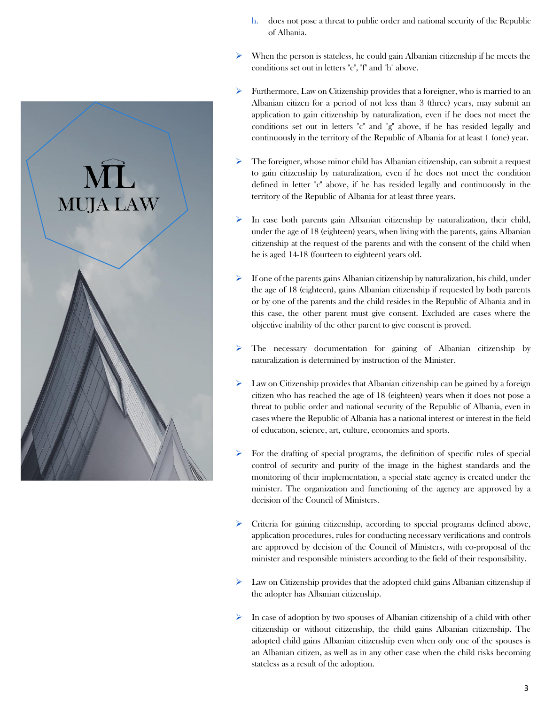

- h. does not pose a threat to public order and national security of the Republic of Albania.
- $\triangleright$  When the person is stateless, he could gain Albanian citizenship if he meets the conditions set out in letters "c", "f" and "h" above.
- $\triangleright$  Furthermore, Law on Citizenship provides that a foreigner, who is married to an Albanian citizen for a period of not less than 3 (three) years, may submit an application to gain citizenship by naturalization, even if he does not meet the conditions set out in letters "c" and "g" above, if he has resided legally and continuously in the territory of the Republic of Albania for at least 1 (one) year.
- The foreigner, whose minor child has Albanian citizenship, can submit a request to gain citizenship by naturalization, even if he does not meet the condition defined in letter "c" above, if he has resided legally and continuously in the territory of the Republic of Albania for at least three years.
- ➢ In case both parents gain Albanian citizenship by naturalization, their child, under the age of 18 (eighteen) years, when living with the parents, gains Albanian citizenship at the request of the parents and with the consent of the child when he is aged 14-18 (fourteen to eighteen) years old.
- ➢ If one of the parents gains Albanian citizenship by naturalization, his child, under the age of 18 (eighteen), gains Albanian citizenship if requested by both parents or by one of the parents and the child resides in the Republic of Albania and in this case, the other parent must give consent. Excluded are cases where the objective inability of the other parent to give consent is proved.
- ➢ The necessary documentation for gaining of Albanian citizenship by naturalization is determined by instruction of the Minister.
- Law on Citizenship provides that Albanian citizenship can be gained by a foreign citizen who has reached the age of 18 (eighteen) years when it does not pose a threat to public order and national security of the Republic of Albania, even in cases where the Republic of Albania has a national interest or interest in the field of education, science, art, culture, economics and sports.
- $\triangleright$  For the drafting of special programs, the definition of specific rules of special control of security and purity of the image in the highest standards and the monitoring of their implementation, a special state agency is created under the minister. The organization and functioning of the agency are approved by a decision of the Council of Ministers.
- ➢ Criteria for gaining citizenship, according to special programs defined above, application procedures, rules for conducting necessary verifications and controls are approved by decision of the Council of Ministers, with co-proposal of the minister and responsible ministers according to the field of their responsibility.
- ➢ Law on Citizenship provides that the adopted child gains Albanian citizenship if the adopter has Albanian citizenship.
- $\triangleright$  In case of adoption by two spouses of Albanian citizenship of a child with other citizenship or without citizenship, the child gains Albanian citizenship. The adopted child gains Albanian citizenship even when only one of the spouses is an Albanian citizen, as well as in any other case when the child risks becoming stateless as a result of the adoption.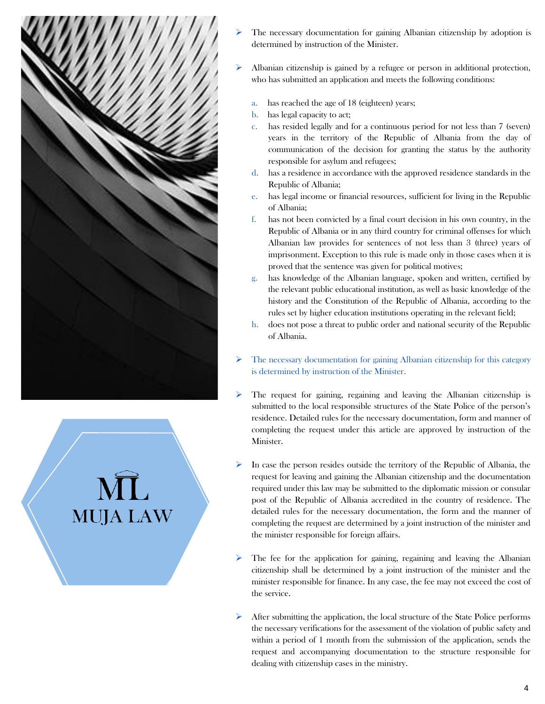

**MUJA LAW** 

- $\triangleright$  The necessary documentation for gaining Albanian citizenship by adoption is determined by instruction of the Minister.
- ➢ Albanian citizenship is gained by a refugee or person in additional protection, who has submitted an application and meets the following conditions:
	- a. has reached the age of 18 (eighteen) years;
	- b. has legal capacity to act;
	- c. has resided legally and for a continuous period for not less than 7 (seven) years in the territory of the Republic of Albania from the day of communication of the decision for granting the status by the authority responsible for asylum and refugees;
	- d. has a residence in accordance with the approved residence standards in the Republic of Albania;
	- e. has legal income or financial resources, sufficient for living in the Republic of Albania;
	- f. has not been convicted by a final court decision in his own country, in the Republic of Albania or in any third country for criminal offenses for which Albanian law provides for sentences of not less than 3 (three) years of imprisonment. Exception to this rule is made only in those cases when it is proved that the sentence was given for political motives;
	- g. has knowledge of the Albanian language, spoken and written, certified by the relevant public educational institution, as well as basic knowledge of the history and the Constitution of the Republic of Albania, according to the rules set by higher education institutions operating in the relevant field;
	- h. does not pose a threat to public order and national security of the Republic of Albania.
- $\triangleright$  The necessary documentation for gaining Albanian citizenship for this category is determined by instruction of the Minister.
- ➢ The request for gaining, regaining and leaving the Albanian citizenship is submitted to the local responsible structures of the State Police of the person's residence. Detailed rules for the necessary documentation, form and manner of completing the request under this article are approved by instruction of the Minister.
- In case the person resides outside the territory of the Republic of Albania, the request for leaving and gaining the Albanian citizenship and the documentation required under this law may be submitted to the diplomatic mission or consular post of the Republic of Albania accredited in the country of residence. The detailed rules for the necessary documentation, the form and the manner of completing the request are determined by a joint instruction of the minister and the minister responsible for foreign affairs.
- $\triangleright$  The fee for the application for gaining, regaining and leaving the Albanian citizenship shall be determined by a joint instruction of the minister and the minister responsible for finance. In any case, the fee may not exceed the cost of the service.
- $\triangleright$  After submitting the application, the local structure of the State Police performs the necessary verifications for the assessment of the violation of public safety and within a period of 1 month from the submission of the application, sends the request and accompanying documentation to the structure responsible for dealing with citizenship cases in the ministry.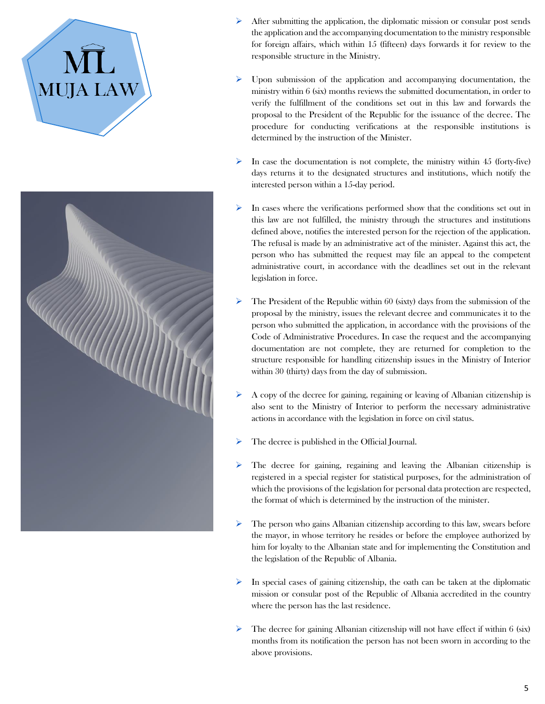



- $\triangleright$  After submitting the application, the diplomatic mission or consular post sends the application and the accompanying documentation to the ministry responsible for foreign affairs, which within 15 (fifteen) days forwards it for review to the responsible structure in the Ministry.
- Upon submission of the application and accompanying documentation, the ministry within 6 (six) months reviews the submitted documentation, in order to verify the fulfillment of the conditions set out in this law and forwards the proposal to the President of the Republic for the issuance of the decree. The procedure for conducting verifications at the responsible institutions is determined by the instruction of the Minister.
- $\triangleright$  In case the documentation is not complete, the ministry within 45 (forty-five) days returns it to the designated structures and institutions, which notify the interested person within a 15-day period.
- $\triangleright$  In cases where the verifications performed show that the conditions set out in this law are not fulfilled, the ministry through the structures and institutions defined above, notifies the interested person for the rejection of the application. The refusal is made by an administrative act of the minister. Against this act, the person who has submitted the request may file an appeal to the competent administrative court, in accordance with the deadlines set out in the relevant legislation in force.
- $\triangleright$  The President of the Republic within 60 (sixty) days from the submission of the proposal by the ministry, issues the relevant decree and communicates it to the person who submitted the application, in accordance with the provisions of the Code of Administrative Procedures. In case the request and the accompanying documentation are not complete, they are returned for completion to the structure responsible for handling citizenship issues in the Ministry of Interior within 30 (thirty) days from the day of submission.
- ➢ A copy of the decree for gaining, regaining or leaving of Albanian citizenship is also sent to the Ministry of Interior to perform the necessary administrative actions in accordance with the legislation in force on civil status.
- $\triangleright$  The decree is published in the Official Journal.
- ➢ The decree for gaining, regaining and leaving the Albanian citizenship is registered in a special register for statistical purposes, for the administration of which the provisions of the legislation for personal data protection are respected, the format of which is determined by the instruction of the minister.
- The person who gains Albanian citizenship according to this law, swears before the mayor, in whose territory he resides or before the employee authorized by him for loyalty to the Albanian state and for implementing the Constitution and the legislation of the Republic of Albania.
- $\triangleright$  In special cases of gaining citizenship, the oath can be taken at the diplomatic mission or consular post of the Republic of Albania accredited in the country where the person has the last residence.
- The decree for gaining Albanian citizenship will not have effect if within 6 (six) months from its notification the person has not been sworn in according to the above provisions.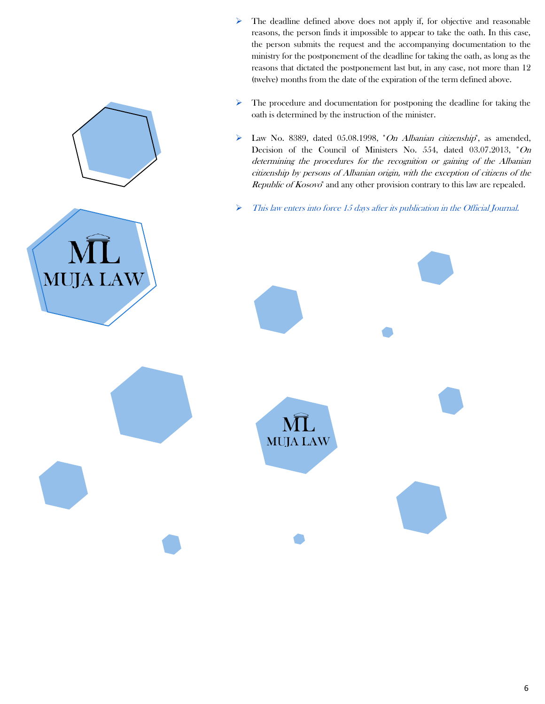- ➢ The deadline defined above does not apply if, for objective and reasonable reasons, the person finds it impossible to appear to take the oath. In this case, the person submits the request and the accompanying documentation to the ministry for the postponement of the deadline for taking the oath, as long as the reasons that dictated the postponement last but, in any case, not more than 12 (twelve) months from the date of the expiration of the term defined above.
- ➢ The procedure and documentation for postponing the deadline for taking the oath is determined by the instruction of the minister.
- $\triangleright$  Law No. 8389, dated 05.08.1998, "On Albanian citizenship", as amended, Decision of the Council of Ministers No. 554, dated 03.07.2013, "On determining the procedures for the recognition or gaining of the Albanian citizenship by persons of Albanian origin, with the exception of citizens of the Republic of Kosovo" and any other provision contrary to this law are repealed.
- ➢ This law enters into force 15 days after its publication in the Official Journal.

ML **MUJA LAW** 

MUJA LAW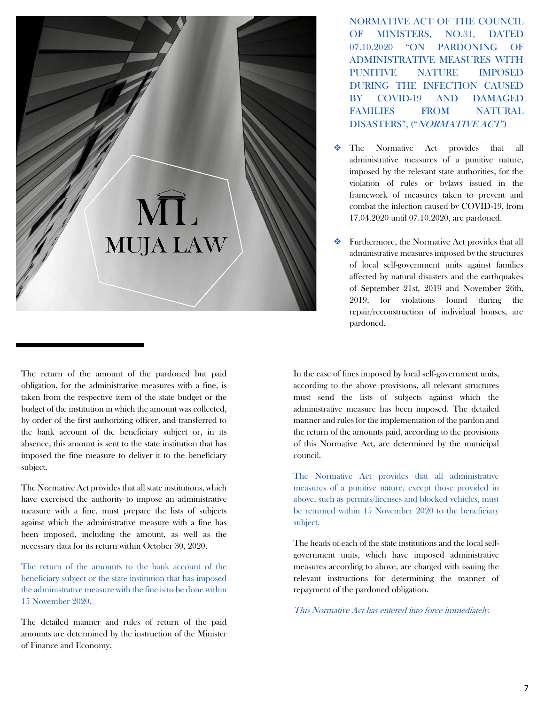

NORMATIVE ACT OF THE COUNCIL OF MINISTERS, NO.31, DATED 07.10.2020 "ON PARDONING OF ADMINISTRATIVE MEASURES WITH PUNITIVE NATURE IMPOSED DURING THE INFECTION CAUSED BY COVID-19 AND DAMAGED FAMILIES FROM NATURAL DISASTERS", ("NORMATIVE ACT")

- The Normative Act provides that all administrative measures of a punitive nature, imposed by the relevant state authorities, for the violation of rules or bylaws issued in the framework of measures taken to prevent and combat the infection caused by COVID-19, from 17.04.2020 until 07.10.2020, are pardoned.
- ❖ Furthermore, the Normative Act provides that all administrative measures imposed by the structures of local self-government units against families affected by natural disasters and the earthquakes of September 21st, 2019 and November 26th, 2019, for violations found during the repair/reconstruction of individual houses, are pardoned.

The return of the amount of the pardoned but paid obligation, for the administrative measures with a fine, is taken from the respective item of the state budget or the budget of the institution in which the amount was collected, by order of the first authorizing officer, and transferred to the bank account of the beneficiary subject or, in its absence, this amount is sent to the state institution that has imposed the fine measure to deliver it to the beneficiary subject.

The Normative Act provides that all state institutions, which have exercised the authority to impose an administrative measure with a fine, must prepare the lists of subjects against which the administrative measure with a fine has been imposed, including the amount, as well as the necessary data for its return within October 30, 2020.

The return of the amounts to the bank account of the beneficiary subject or the state institution that has imposed the administrative measure with the fine is to be done within 15 November 2020.

The detailed manner and rules of return of the paid amounts are determined by the instruction of the Minister of Finance and Economy.

In the case of fines imposed by local self-government units, according to the above provisions, all relevant structures must send the lists of subjects against which the administrative measure has been imposed. The detailed manner and rules for the implementation of the pardon and the return of the amounts paid, according to the provisions of this Normative Act, are determined by the municipal council.

The Normative Act provides that all administrative measures of a punitive nature, except those provided in above, such as permits/licenses and blocked vehicles, must be returned within 15 November 2020 to the beneficiary subject.

The heads of each of the state institutions and the local selfgovernment units, which have imposed administrative measures according to above, are charged with issuing the relevant instructions for determining the manner of repayment of the pardoned obligation.

This Normative Act has entered into force immediately.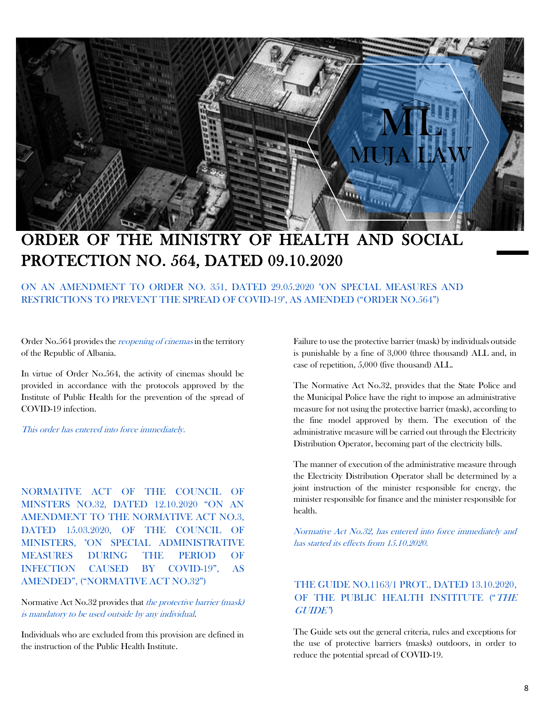

# ORDER OF THE MINISTRY OF HEALTH AND SOCIAL PROTECTION NO. 564, DATED 09.10.2020

ON AN AMENDMENT TO ORDER NO. 351, DATED 29.05.2020 "ON SPECIAL MEASURES AND RESTRICTIONS TO PREVENT THE SPREAD OF COVID-19", AS AMENDED ("ORDER NO.564")

Order No.564 provides the reopening of cinemas in the territory of the Republic of Albania.

In virtue of Order No.564, the activity of cinemas should be provided in accordance with the protocols approved by the Institute of Public Health for the prevention of the spread of COVID-19 infection.

This order has entered into force immediately.

NORMATIVE ACT OF THE COUNCIL OF MINSTERS NO.32, DATED 12.10.2020 "ON AN AMENDMENT TO THE NORMATIVE ACT NO.3, DATED 15.03.2020, OF THE COUNCIL OF MINISTERS, "ON SPECIAL ADMINISTRATIVE MEASURES DURING THE PERIOD OF INFECTION CAUSED BY COVID-19", AS AMENDED", ("NORMATIVE ACT NO.32")

Normative Act No.32 provides that the protective barrier (mask) is mandatory to be used outside by any individual.

Individuals who are excluded from this provision are defined in the instruction of the Public Health Institute.

Failure to use the protective barrier (mask) by individuals outside is punishable by a fine of 3,000 (three thousand) ALL and, in case of repetition, 5,000 (five thousand) ALL.

The Normative Act No.32, provides that the State Police and the Municipal Police have the right to impose an administrative measure for not using the protective barrier (mask), according to the fine model approved by them. The execution of the administrative measure will be carried out through the Electricity Distribution Operator, becoming part of the electricity bills.

The manner of execution of the administrative measure through the Electricity Distribution Operator shall be determined by a joint instruction of the minister responsible for energy, the minister responsible for finance and the minister responsible for health.

Normative Act No.32, has entered into force immediately and has started its effects from 15.10.2020.

#### THE GUIDE NO.1163/1 PROT., DATED 13.10.2020, OF THE PUBLIC HEALTH INSTITUTE ("THE GUIDE")

The Guide sets out the general criteria, rules and exceptions for the use of protective barriers (masks) outdoors, in order to reduce the potential spread of COVID-19.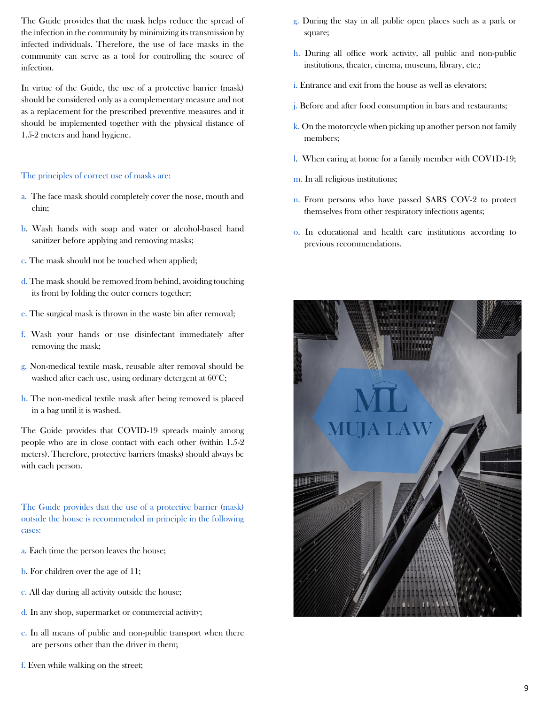The Guide provides that the mask helps reduce the spread of the infection in the community by minimizing its transmission by infected individuals. Therefore, the use of face masks in the community can serve as a tool for controlling the source of infection.

In virtue of the Guide, the use of a protective barrier (mask) should be considered only as a complementary measure and not as a replacement for the prescribed preventive measures and it should be implemented together with the physical distance of 1.5-2 meters and hand hygiene.

#### The principles of correct use of masks are:

- a. The face mask should completely cover the nose, mouth and chin;
- b. Wash hands with soap and water or alcohol-based hand sanitizer before applying and removing masks;
- c. The mask should not be touched when applied;
- d. The mask should be removed from behind, avoiding touching its front by folding the outer corners together;
- e. The surgical mask is thrown in the waste bin after removal;
- f. Wash your hands or use disinfectant immediately after removing the mask;
- g. Non-medical textile mask, reusable after removal should be washed after each use, using ordinary detergent at 60°C;
- h. The non-medical textile mask after being removed is placed in a bag until it is washed.

The Guide provides that COVID-19 spreads mainly among people who are in close contact with each other (within 1.5-2 meters). Therefore, protective barriers (masks) should always be with each person.

The Guide provides that the use of a protective barrier (mask) outside the house is recommended in principle in the following cases:

- a. Each time the person leaves the house;
- b. For children over the age of 11;
- c. All day during all activity outside the house;
- d. In any shop, supermarket or commercial activity;
- e. In all means of public and non-public transport when there are persons other than the driver in them;
- g. During the stay in all public open places such as a park or square;
- h. During all office work activity, all public and non-public institutions, theater, cinema, museum, library, etc.;
- i. Entrance and exit from the house as well as elevators;
- j. Before and after food consumption in bars and restaurants;
- k. On the motorcycle when picking up another person not family members;
- l. When caring at home for a family member with COV1D-19;
- m. In all religious institutions;
- n. From persons who have passed SARS COV-2 to protect themselves from other respiratory infectious agents;
- o. In educational and health care institutions according to previous recommendations.



f. Even while walking on the street;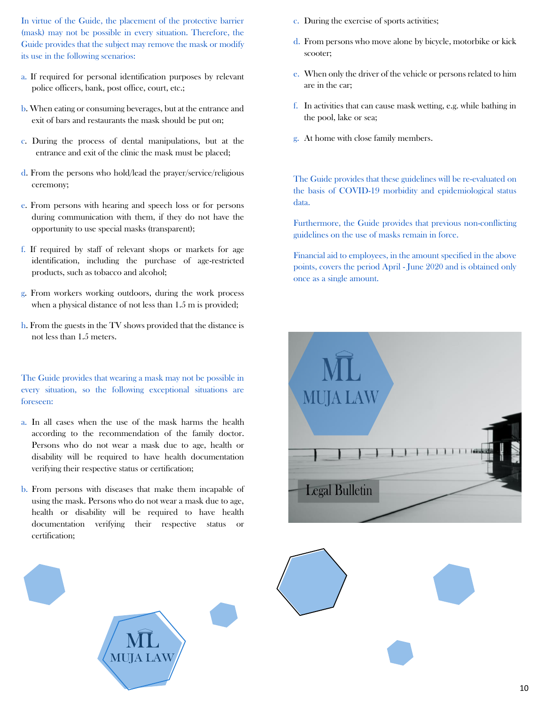In virtue of the Guide, the placement of the protective barrier (mask) may not be possible in every situation. Therefore, the Guide provides that the subject may remove the mask or modify its use in the following scenarios:

- a. If required for personal identification purposes by relevant police officers, bank, post office, court, etc.;
- b. When eating or consuming beverages, but at the entrance and exit of bars and restaurants the mask should be put on;
- c. During the process of dental manipulations, but at the entrance and exit of the clinic the mask must be placed;
- d. From the persons who hold/lead the prayer/service/religious ceremony;
- e. From persons with hearing and speech loss or for persons during communication with them, if they do not have the opportunity to use special masks (transparent);
- f. If required by staff of relevant shops or markets for age identification, including the purchase of age-restricted products, such as tobacco and alcohol;
- g. From workers working outdoors, during the work process when a physical distance of not less than 1.5 m is provided;
- h. From the guests in the TV shows provided that the distance is not less than 1.5 meters.

The Guide provides that wearing a mask may not be possible in every situation, so the following exceptional situations are foreseen:

- a. In all cases when the use of the mask harms the health according to the recommendation of the family doctor. Persons who do not wear a mask due to age, health or disability will be required to have health documentation verifying their respective status or certification;
- b. From persons with diseases that make them incapable of using the mask. Persons who do not wear a mask due to age, health or disability will be required to have health documentation verifying their respective status or certification;
- c. During the exercise of sports activities;
- d. From persons who move alone by bicycle, motorbike or kick scooter;
- e. When only the driver of the vehicle or persons related to him are in the car;
- f. In activities that can cause mask wetting, e.g. while bathing in the pool, lake or sea;
- g. At home with close family members.

The Guide provides that these guidelines will be re-evaluated on the basis of COVID-19 morbidity and epidemiological status data.

Furthermore, the Guide provides that previous non-conflicting guidelines on the use of masks remain in force.

Financial aid to employees, in the amount specified in the above points, covers the period April - June 2020 and is obtained only once as a single amount.